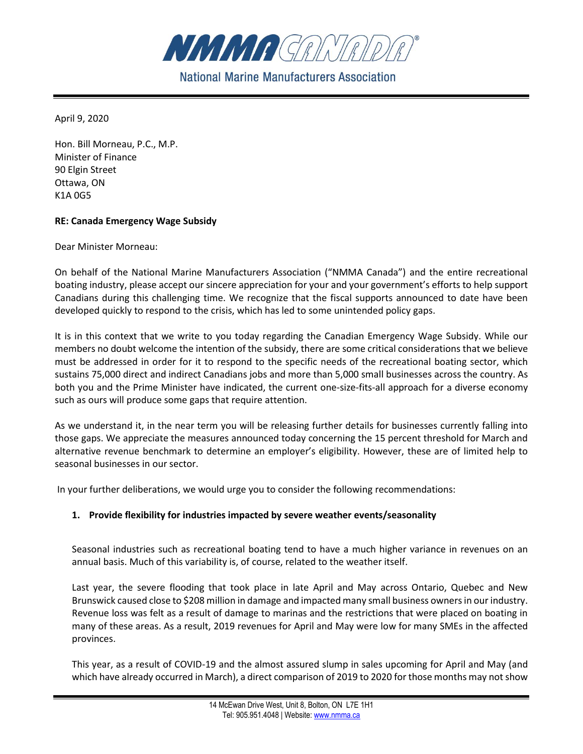

**National Marine Manufacturers Association** 

April 9, 2020

Hon. Bill Morneau, P.C., M.P. Minister of Finance 90 Elgin Street Ottawa, ON K1A 0G5

## **RE: Canada Emergency Wage Subsidy**

Dear Minister Morneau:

On behalf of the National Marine Manufacturers Association ("NMMA Canada") and the entire recreational boating industry, please accept our sincere appreciation for your and your government's efforts to help support Canadians during this challenging time. We recognize that the fiscal supports announced to date have been developed quickly to respond to the crisis, which has led to some unintended policy gaps.

It is in this context that we write to you today regarding the Canadian Emergency Wage Subsidy. While our members no doubt welcome the intention of the subsidy, there are some critical considerations that we believe must be addressed in order for it to respond to the specific needs of the recreational boating sector, which sustains 75,000 direct and indirect Canadians jobs and more than 5,000 small businesses across the country. As both you and the Prime Minister have indicated, the current one-size-fits-all approach for a diverse economy such as ours will produce some gaps that require attention.

As we understand it, in the near term you will be releasing further details for businesses currently falling into those gaps. We appreciate the measures announced today concerning the 15 percent threshold for March and alternative revenue benchmark to determine an employer's eligibility. However, these are of limited help to seasonal businesses in our sector.

In your further deliberations, we would urge you to consider the following recommendations:

## **1. Provide flexibility for industries impacted by severe weather events/seasonality**

Seasonal industries such as recreational boating tend to have a much higher variance in revenues on an annual basis. Much of this variability is, of course, related to the weather itself.

Last year, the severe flooding that took place in late April and May across Ontario, Quebec and New Brunswick caused close to \$208 million in damage and impacted many small business owners in our industry. Revenue loss was felt as a result of damage to marinas and the restrictions that were placed on boating in many of these areas. As a result, 2019 revenues for April and May were low for many SMEs in the affected provinces.

This year, as a result of COVID-19 and the almost assured slump in sales upcoming for April and May (and which have already occurred in March), a direct comparison of 2019 to 2020 for those months may not show